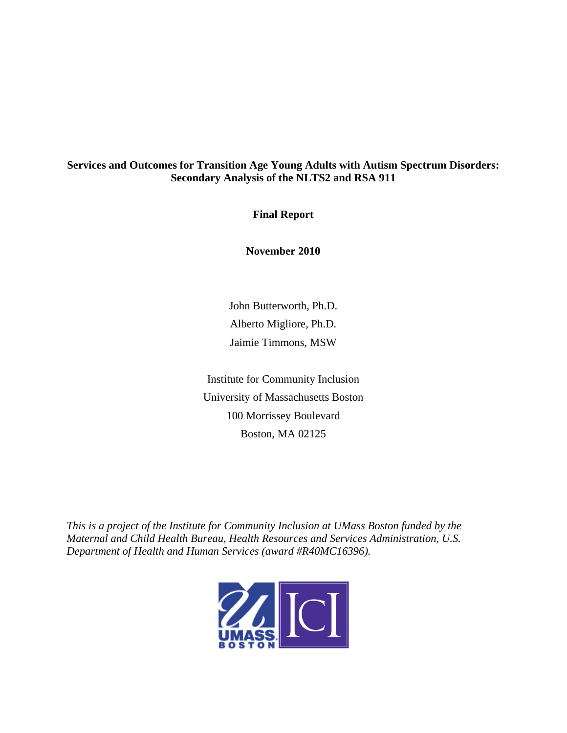# **Services and Outcomes for Transition Age Young Adults with Autism Spectrum Disorders: Secondary Analysis of the NLTS2 and RSA 911**

**Final Report**

**November 2010**

John Butterworth, Ph.D. Alberto Migliore, Ph.D. Jaimie Timmons, MSW

Institute for Community Inclusion University of Massachusetts Boston 100 Morrissey Boulevard Boston, MA 02125

*This is a project of the Institute for Community Inclusion at UMass Boston funded by the Maternal and Child Health Bureau, Health Resources and Services Administration, U.S. Department of Health and Human Services (award #R40MC16396).*

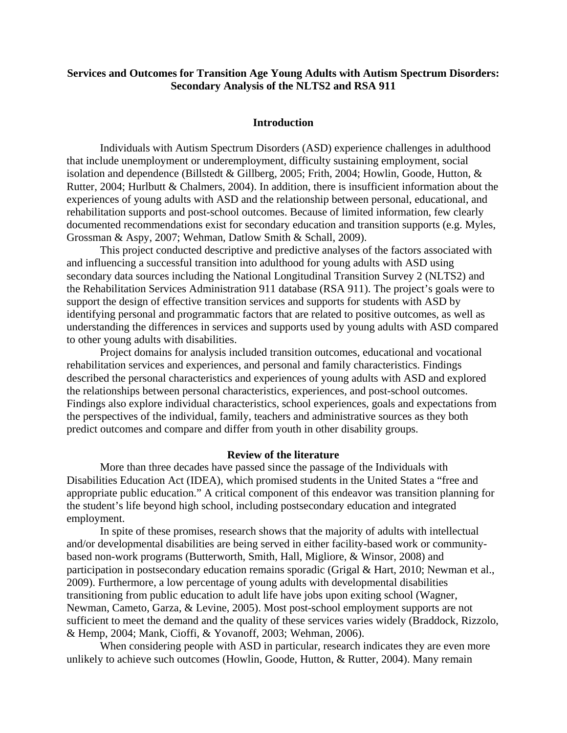## **Services and Outcomes for Transition Age Young Adults with Autism Spectrum Disorders: Secondary Analysis of the NLTS2 and RSA 911**

## **Introduction**

Individuals with Autism Spectrum Disorders (ASD) experience challenges in adulthood that include unemployment or underemployment, difficulty sustaining employment, social isolation and dependence (Billstedt & Gillberg, 2005; Frith, 2004; Howlin, Goode, Hutton, & Rutter, 2004; Hurlbutt & Chalmers, 2004). In addition, there is insufficient information about the experiences of young adults with ASD and the relationship between personal, educational, and rehabilitation supports and post-school outcomes. Because of limited information, few clearly documented recommendations exist for secondary education and transition supports (e.g. Myles, Grossman & Aspy, 2007; Wehman, Datlow Smith & Schall, 2009).

This project conducted descriptive and predictive analyses of the factors associated with and influencing a successful transition into adulthood for young adults with ASD using secondary data sources including the National Longitudinal Transition Survey 2 (NLTS2) and the Rehabilitation Services Administration 911 database (RSA 911). The project's goals were to support the design of effective transition services and supports for students with ASD by identifying personal and programmatic factors that are related to positive outcomes, as well as understanding the differences in services and supports used by young adults with ASD compared to other young adults with disabilities.

Project domains for analysis included transition outcomes, educational and vocational rehabilitation services and experiences, and personal and family characteristics. Findings described the personal characteristics and experiences of young adults with ASD and explored the relationships between personal characteristics, experiences, and post-school outcomes. Findings also explore individual characteristics, school experiences, goals and expectations from the perspectives of the individual, family, teachers and administrative sources as they both predict outcomes and compare and differ from youth in other disability groups.

#### **Review of the literature**

More than three decades have passed since the passage of the Individuals with Disabilities Education Act (IDEA), which promised students in the United States a "free and appropriate public education." A critical component of this endeavor was transition planning for the student's life beyond high school, including postsecondary education and integrated employment.

In spite of these promises, research shows that the majority of adults with intellectual and/or developmental disabilities are being served in either facility-based work or communitybased non-work programs (Butterworth, Smith, Hall, Migliore, & Winsor, 2008) and participation in postsecondary education remains sporadic (Grigal & Hart, 2010; Newman et al., 2009). Furthermore, a low percentage of young adults with developmental disabilities transitioning from public education to adult life have jobs upon exiting school (Wagner, Newman, Cameto, Garza, & Levine, 2005). Most post-school employment supports are not sufficient to meet the demand and the quality of these services varies widely (Braddock, Rizzolo, & Hemp, 2004; Mank, Cioffi, & Yovanoff, 2003; Wehman, 2006).

When considering people with ASD in particular, research indicates they are even more unlikely to achieve such outcomes (Howlin, Goode, Hutton, & Rutter, 2004). Many remain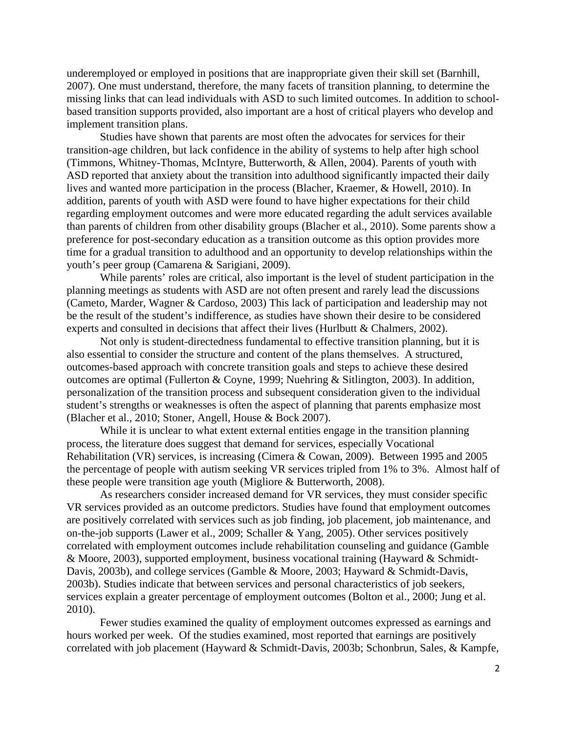underemployed or employed in positions that are inappropriate given their skill set (Barnhill, 2007). One must understand, therefore, the many facets of transition planning, to determine the missing links that can lead individuals with ASD to such limited outcomes. In addition to schoolbased transition supports provided, also important are a host of critical players who develop and implement transition plans.

Studies have shown that parents are most often the advocates for services for their transition-age children, but lack confidence in the ability of systems to help after high school (Timmons, Whitney-Thomas, McIntyre, Butterworth, & Allen, 2004). Parents of youth with ASD reported that anxiety about the transition into adulthood significantly impacted their daily lives and wanted more participation in the process (Blacher, Kraemer, & Howell, 2010). In addition, parents of youth with ASD were found to have higher expectations for their child regarding employment outcomes and were more educated regarding the adult services available than parents of children from other disability groups (Blacher et al., 2010). Some parents show a preference for post-secondary education as a transition outcome as this option provides more time for a gradual transition to adulthood and an opportunity to develop relationships within the youth's peer group (Camarena & Sarigiani, 2009).

While parents' roles are critical, also important is the level of student participation in the planning meetings as students with ASD are not often present and rarely lead the discussions (Cameto, Marder, Wagner & Cardoso, 2003) This lack of participation and leadership may not be the result of the student's indifference, as studies have shown their desire to be considered experts and consulted in decisions that affect their lives (Hurlbutt & Chalmers, 2002).

Not only is student-directedness fundamental to effective transition planning, but it is also essential to consider the structure and content of the plans themselves. A structured, outcomes-based approach with concrete transition goals and steps to achieve these desired outcomes are optimal (Fullerton & Coyne, 1999; Nuehring & Sitlington, 2003). In addition, personalization of the transition process and subsequent consideration given to the individual student's strengths or weaknesses is often the aspect of planning that parents emphasize most (Blacher et al., 2010; Stoner, Angell, House & Bock 2007).

While it is unclear to what extent external entities engage in the transition planning process, the literature does suggest that demand for services, especially Vocational Rehabilitation (VR) services, is increasing (Cimera & Cowan, 2009). Between 1995 and 2005 the percentage of people with autism seeking VR services tripled from 1% to 3%. Almost half of these people were transition age youth (Migliore & Butterworth, 2008).

As researchers consider increased demand for VR services, they must consider specific VR services provided as an outcome predictors. Studies have found that employment outcomes are positively correlated with services such as job finding, job placement, job maintenance, and on-the-job supports (Lawer et al., 2009; Schaller & Yang, 2005). Other services positively correlated with employment outcomes include rehabilitation counseling and guidance (Gamble & Moore, 2003), supported employment, business vocational training (Hayward & Schmidt-Davis, 2003b), and college services (Gamble & Moore, 2003; Hayward & Schmidt-Davis, 2003b). Studies indicate that between services and personal characteristics of job seekers, services explain a greater percentage of employment outcomes (Bolton et al., 2000; Jung et al. 2010).

Fewer studies examined the quality of employment outcomes expressed as earnings and hours worked per week. Of the studies examined, most reported that earnings are positively correlated with job placement (Hayward & Schmidt-Davis, 2003b; Schonbrun, Sales, & Kampfe,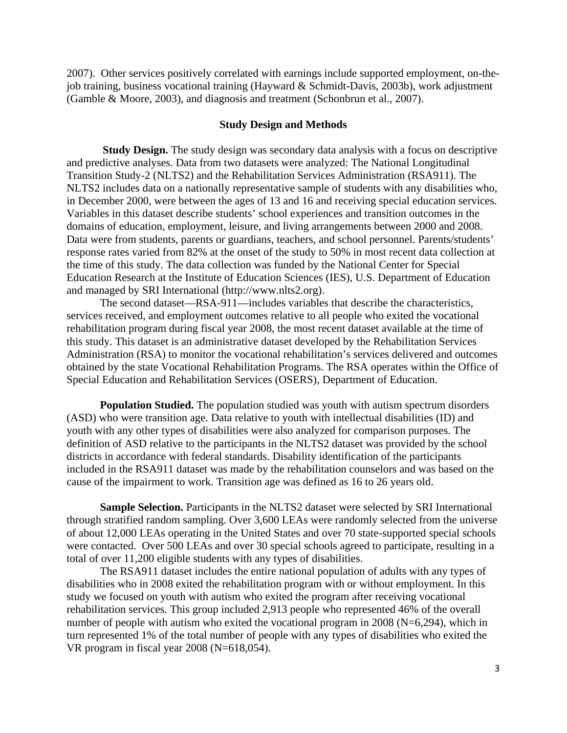2007). Other services positively correlated with earnings include supported employment, on-thejob training, business vocational training (Hayward & Schmidt-Davis, 2003b), work adjustment (Gamble & Moore, 2003), and diagnosis and treatment (Schonbrun et al., 2007).

## **Study Design and Methods**

**Study Design.** The study design was secondary data analysis with a focus on descriptive and predictive analyses. Data from two datasets were analyzed: The National Longitudinal Transition Study-2 (NLTS2) and the Rehabilitation Services Administration (RSA911). The NLTS2 includes data on a nationally representative sample of students with any disabilities who, in December 2000, were between the ages of 13 and 16 and receiving special education services. Variables in this dataset describe students' school experiences and transition outcomes in the domains of education, employment, leisure, and living arrangements between 2000 and 2008. Data were from students, parents or guardians, teachers, and school personnel. Parents/students' response rates varied from 82% at the onset of the study to 50% in most recent data collection at the time of this study. The data collection was funded by the National Center for Special Education Research at the Institute of Education Sciences (IES), U.S. Department of Education and managed by SRI International [\(http://www.nlts2.org\)](http://www.nlts2.org/).

The second dataset—RSA-911—includes variables that describe the characteristics, services received, and employment outcomes relative to all people who exited the vocational rehabilitation program during fiscal year 2008, the most recent dataset available at the time of this study. This dataset is an administrative dataset developed by the Rehabilitation Services Administration (RSA) to monitor the vocational rehabilitation's services delivered and outcomes obtained by the state Vocational Rehabilitation Programs. The RSA operates within the Office of Special Education and Rehabilitation Services (OSERS), Department of Education.

**Population Studied.** The population studied was youth with autism spectrum disorders (ASD) who were transition age. Data relative to youth with intellectual disabilities (ID) and youth with any other types of disabilities were also analyzed for comparison purposes. The definition of ASD relative to the participants in the NLTS2 dataset was provided by the school districts in accordance with federal standards. Disability identification of the participants included in the RSA911 dataset was made by the rehabilitation counselors and was based on the cause of the impairment to work. Transition age was defined as 16 to 26 years old.

**Sample Selection.** Participants in the NLTS2 dataset were selected by SRI International through stratified random sampling. Over 3,600 LEAs were randomly selected from the universe of about 12,000 LEAs operating in the United States and over 70 state-supported special schools were contacted. Over 500 LEAs and over 30 special schools agreed to participate, resulting in a total of over 11,200 eligible students with any types of disabilities.

The RSA911 dataset includes the entire national population of adults with any types of disabilities who in 2008 exited the rehabilitation program with or without employment. In this study we focused on youth with autism who exited the program after receiving vocational rehabilitation services. This group included 2,913 people who represented 46% of the overall number of people with autism who exited the vocational program in 2008 (N=6,294), which in turn represented 1% of the total number of people with any types of disabilities who exited the VR program in fiscal year 2008 (N=618,054).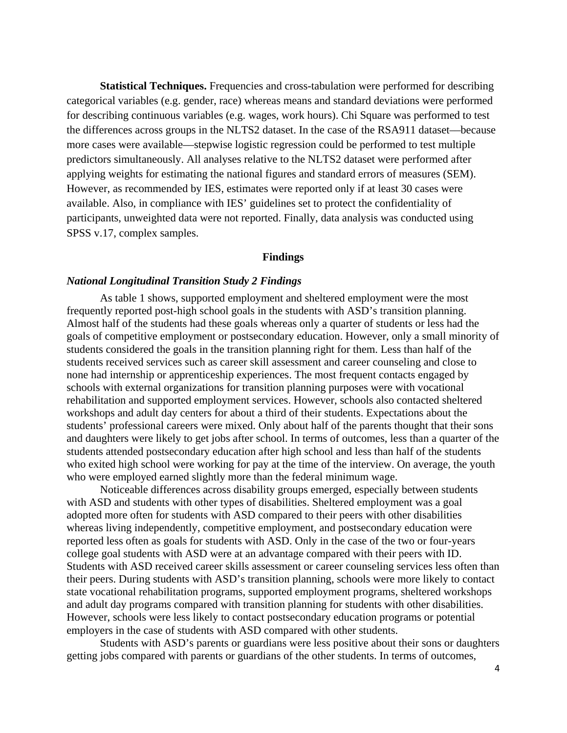**Statistical Techniques.** Frequencies and cross-tabulation were performed for describing categorical variables (e.g. gender, race) whereas means and standard deviations were performed for describing continuous variables (e.g. wages, work hours). Chi Square was performed to test the differences across groups in the NLTS2 dataset. In the case of the RSA911 dataset––because more cases were available––stepwise logistic regression could be performed to test multiple predictors simultaneously. All analyses relative to the NLTS2 dataset were performed after applying weights for estimating the national figures and standard errors of measures (SEM). However, as recommended by IES, estimates were reported only if at least 30 cases were available. Also, in compliance with IES' guidelines set to protect the confidentiality of participants, unweighted data were not reported. Finally, data analysis was conducted using SPSS v.17, complex samples.

### **Findings**

## *National Longitudinal Transition Study 2 Findings*

As table 1 shows, supported employment and sheltered employment were the most frequently reported post-high school goals in the students with ASD's transition planning. Almost half of the students had these goals whereas only a quarter of students or less had the goals of competitive employment or postsecondary education. However, only a small minority of students considered the goals in the transition planning right for them. Less than half of the students received services such as career skill assessment and career counseling and close to none had internship or apprenticeship experiences. The most frequent contacts engaged by schools with external organizations for transition planning purposes were with vocational rehabilitation and supported employment services. However, schools also contacted sheltered workshops and adult day centers for about a third of their students. Expectations about the students' professional careers were mixed. Only about half of the parents thought that their sons and daughters were likely to get jobs after school. In terms of outcomes, less than a quarter of the students attended postsecondary education after high school and less than half of the students who exited high school were working for pay at the time of the interview. On average, the youth who were employed earned slightly more than the federal minimum wage.

Noticeable differences across disability groups emerged, especially between students with ASD and students with other types of disabilities. Sheltered employment was a goal adopted more often for students with ASD compared to their peers with other disabilities whereas living independently, competitive employment, and postsecondary education were reported less often as goals for students with ASD. Only in the case of the two or four-years college goal students with ASD were at an advantage compared with their peers with ID. Students with ASD received career skills assessment or career counseling services less often than their peers. During students with ASD's transition planning, schools were more likely to contact state vocational rehabilitation programs, supported employment programs, sheltered workshops and adult day programs compared with transition planning for students with other disabilities. However, schools were less likely to contact postsecondary education programs or potential employers in the case of students with ASD compared with other students.

Students with ASD's parents or guardians were less positive about their sons or daughters getting jobs compared with parents or guardians of the other students. In terms of outcomes,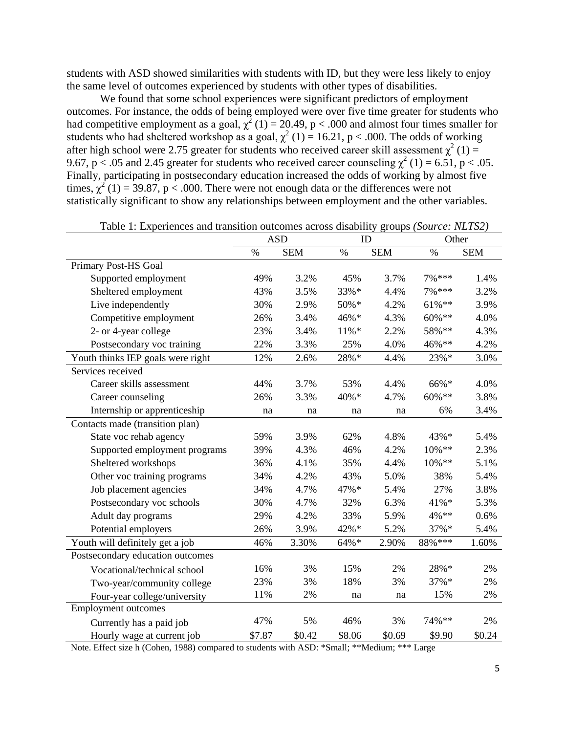students with ASD showed similarities with students with ID, but they were less likely to enjoy the same level of outcomes experienced by students with other types of disabilities.

We found that some school experiences were significant predictors of employment outcomes. For instance, the odds of being employed were over five time greater for students who had competitive employment as a goal,  $\chi^2$  (1) = 20.49, p < .000 and almost four times smaller for students who had sheltered workshop as a goal,  $\chi^2$  (1) = 16.21, p < .000. The odds of working after high school were 2.75 greater for students who received career skill assessment  $\chi^2$  (1) = 9.67, p < .05 and 2.45 greater for students who received career counseling  $\chi^2$  (1) = 6.51, p < .05. Finally, participating in postsecondary education increased the odds of working by almost five times,  $\chi^2(1) = 39.87$ , p < .000. There were not enough data or the differences were not statistically significant to show any relationships between employment and the other variables.

|                                   | <b>ASD</b> |            | ID       |            | Other    |            |
|-----------------------------------|------------|------------|----------|------------|----------|------------|
|                                   | $\%$       | <b>SEM</b> | $\%$     | <b>SEM</b> | $\%$     | <b>SEM</b> |
| Primary Post-HS Goal              |            |            |          |            |          |            |
| Supported employment              | 49%        | 3.2%       | 45%      | 3.7%       | 7%***    | 1.4%       |
| Sheltered employment              | 43%        | 3.5%       | 33%*     | 4.4%       | $7\%***$ | 3.2%       |
| Live independently                | 30%        | 2.9%       | 50%*     | 4.2%       | $61\%**$ | 3.9%       |
| Competitive employment            | 26%        | 3.4%       | 46%*     | 4.3%       | 60%**    | 4.0%       |
| 2- or 4-year college              | 23%        | 3.4%       | $11\% *$ | 2.2%       | 58%**    | 4.3%       |
| Postsecondary voc training        | 22%        | 3.3%       | 25%      | 4.0%       | 46%**    | 4.2%       |
| Youth thinks IEP goals were right | 12%        | 2.6%       | 28%*     | 4.4%       | 23%*     | 3.0%       |
| Services received                 |            |            |          |            |          |            |
| Career skills assessment          | 44%        | 3.7%       | 53%      | 4.4%       | 66%*     | 4.0%       |
| Career counseling                 | 26%        | 3.3%       | 40%*     | 4.7%       | 60%**    | 3.8%       |
| Internship or apprenticeship      | na         | na         | na       | na         | 6%       | 3.4%       |
| Contacts made (transition plan)   |            |            |          |            |          |            |
| State voc rehab agency            | 59%        | 3.9%       | 62%      | 4.8%       | 43%*     | 5.4%       |
| Supported employment programs     | 39%        | 4.3%       | 46%      | 4.2%       | 10%**    | 2.3%       |
| Sheltered workshops               | 36%        | 4.1%       | 35%      | 4.4%       | 10%**    | 5.1%       |
| Other voc training programs       | 34%        | 4.2%       | 43%      | 5.0%       | 38%      | 5.4%       |
| Job placement agencies            | 34%        | 4.7%       | 47%*     | 5.4%       | 27%      | 3.8%       |
| Postsecondary voc schools         | 30%        | 4.7%       | 32%      | 6.3%       | 41%*     | 5.3%       |
| Adult day programs                | 29%        | 4.2%       | 33%      | 5.9%       | 4%**     | 0.6%       |
| Potential employers               | 26%        | 3.9%       | 42%*     | 5.2%       | 37%*     | 5.4%       |
| Youth will definitely get a job   | 46%        | 3.30%      | 64%*     | 2.90%      | 88% ***  | 1.60%      |
| Postsecondary education outcomes  |            |            |          |            |          |            |
| Vocational/technical school       | 16%        | 3%         | 15%      | 2%         | 28%*     | 2%         |
| Two-year/community college        | 23%        | 3%         | 18%      | 3%         | 37%*     | 2%         |
| Four-year college/university      | 11%        | 2%         | na       | na         | 15%      | 2%         |
| <b>Employment outcomes</b>        |            |            |          |            |          |            |
| Currently has a paid job          | 47%        | 5%         | 46%      | 3%         | 74%**    | 2%         |
| Hourly wage at current job        | \$7.87     | \$0.42     | \$8.06   | \$0.69     | \$9.90   | \$0.24     |

Table 1: Experiences and transition outcomes across disability groups *(Source: NLTS2)*

Note. Effect size h (Cohen, 1988) compared to students with ASD: \*Small; \*\*Medium; \*\*\* Large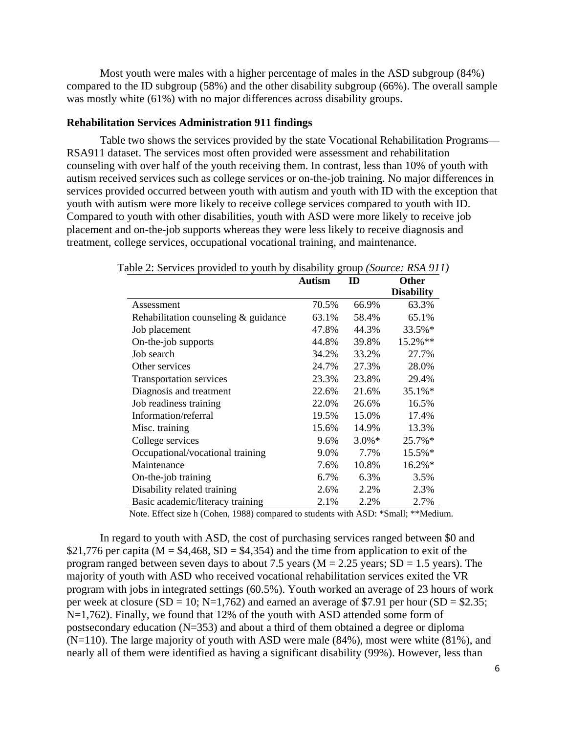Most youth were males with a higher percentage of males in the ASD subgroup (84%) compared to the ID subgroup (58%) and the other disability subgroup (66%). The overall sample was mostly white (61%) with no major differences across disability groups.

## **Rehabilitation Services Administration 911 findings**

Table two shows the services provided by the state Vocational Rehabilitation Programs— RSA911 dataset. The services most often provided were assessment and rehabilitation counseling with over half of the youth receiving them. In contrast, less than 10% of youth with autism received services such as college services or on-the-job training. No major differences in services provided occurred between youth with autism and youth with ID with the exception that youth with autism were more likely to receive college services compared to youth with ID. Compared to youth with other disabilities, youth with ASD were more likely to receive job placement and on-the-job supports whereas they were less likely to receive diagnosis and treatment, college services, occupational vocational training, and maintenance.

|                                      | <b>Autism</b><br>ID |          | <b>Other</b>      |  |
|--------------------------------------|---------------------|----------|-------------------|--|
|                                      |                     |          | <b>Disability</b> |  |
| Assessment                           | 70.5%               | 66.9%    | 63.3%             |  |
| Rehabilitation counseling & guidance | 63.1%               | 58.4%    | 65.1%             |  |
| Job placement                        | 47.8%               | 44.3%    | 33.5%*            |  |
| On-the-job supports                  | 44.8%               | 39.8%    | 15.2%**           |  |
| Job search                           | 34.2%               | 33.2%    | 27.7%             |  |
| Other services                       | 24.7%               | 27.3%    | 28.0%             |  |
| <b>Transportation services</b>       | 23.3%               | 23.8%    | 29.4%             |  |
| Diagnosis and treatment              | 22.6%               | 21.6%    | 35.1%*            |  |
| Job readiness training               | 22.0%               | 26.6%    | 16.5%             |  |
| Information/referral                 | 19.5%               | 15.0%    | 17.4%             |  |
| Misc. training                       | 15.6%               | 14.9%    | 13.3%             |  |
| College services                     | 9.6%                | $3.0\%*$ | 25.7%*            |  |
| Occupational/vocational training     | 9.0%                | 7.7%     | 15.5%*            |  |
| Maintenance                          | 7.6%                | 10.8%    | $16.2\%*$         |  |
| On-the-job training                  | 6.7%                | 6.3%     | 3.5%              |  |
| Disability related training          | 2.6%                | 2.2%     | 2.3%              |  |
| Basic academic/literacy training     | 2.1%                | 2.2%     | 2.7%              |  |

Table 2: Services provided to youth by disability group *(Source: RSA 911)*

Note. Effect size h (Cohen, 1988) compared to students with ASD: \*Small; \*\*Medium.

In regard to youth with ASD, the cost of purchasing services ranged between \$0 and \$21,776 per capita ( $M = 4,468$ ,  $SD = 4,354$ ) and the time from application to exit of the program ranged between seven days to about 7.5 years ( $M = 2.25$  years;  $SD = 1.5$  years). The majority of youth with ASD who received vocational rehabilitation services exited the VR program with jobs in integrated settings (60.5%). Youth worked an average of 23 hours of work per week at closure (SD = 10; N=1,762) and earned an average of \$7.91 per hour (SD = \$2.35; N=1,762). Finally, we found that 12% of the youth with ASD attended some form of postsecondary education (N=353) and about a third of them obtained a degree or diploma (N=110). The large majority of youth with ASD were male (84%), most were white (81%), and nearly all of them were identified as having a significant disability (99%). However, less than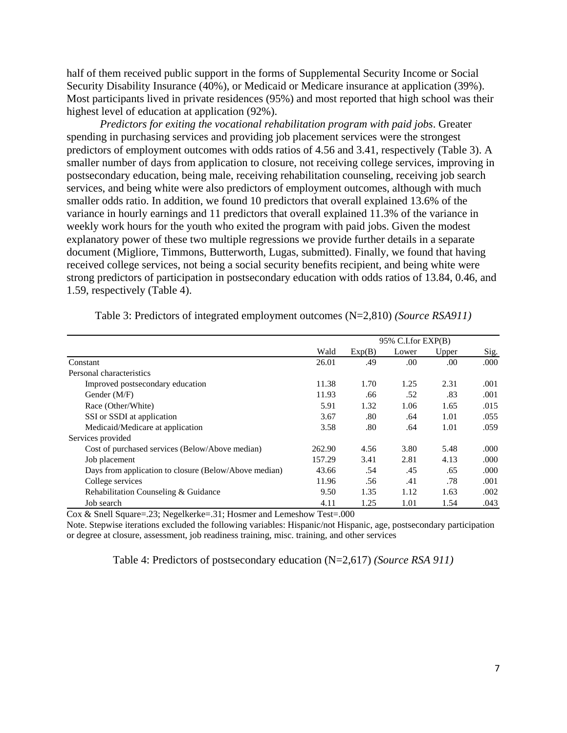half of them received public support in the forms of Supplemental Security Income or Social Security Disability Insurance (40%), or Medicaid or Medicare insurance at application (39%). Most participants lived in private residences (95%) and most reported that high school was their highest level of education at application (92%).

*Predictors for exiting the vocational rehabilitation program with paid jobs*. Greater spending in purchasing services and providing job placement services were the strongest predictors of employment outcomes with odds ratios of 4.56 and 3.41, respectively (Table 3). A smaller number of days from application to closure, not receiving college services, improving in postsecondary education, being male, receiving rehabilitation counseling, receiving job search services, and being white were also predictors of employment outcomes, although with much smaller odds ratio. In addition, we found 10 predictors that overall explained 13.6% of the variance in hourly earnings and 11 predictors that overall explained 11.3% of the variance in weekly work hours for the youth who exited the program with paid jobs. Given the modest explanatory power of these two multiple regressions we provide further details in a separate document (Migliore, Timmons, Butterworth, Lugas, submitted). Finally, we found that having received college services, not being a social security benefits recipient, and being white were strong predictors of participation in postsecondary education with odds ratios of 13.84, 0.46, and 1.59, respectively (Table 4).

|                                                       | $95\%$ C.I.for EXP(B) |        |       |       |       |
|-------------------------------------------------------|-----------------------|--------|-------|-------|-------|
|                                                       | Wald                  | Exp(B) | Lower | Upper | Sig.  |
| Constant                                              | 26.01                 | .49    | .00.  | .00   | .000  |
| Personal characteristics                              |                       |        |       |       |       |
| Improved postsecondary education                      | 11.38                 | 1.70   | 1.25  | 2.31  | .001  |
| Gender (M/F)                                          | 11.93                 | .66    | .52   | .83   | .001  |
| Race (Other/White)                                    | 5.91                  | 1.32   | 1.06  | 1.65  | .015  |
| SSI or SSDI at application                            | 3.67                  | .80    | .64   | 1.01  | .055  |
| Medicaid/Medicare at application                      | 3.58                  | .80    | .64   | 1.01  | .059  |
| Services provided                                     |                       |        |       |       |       |
| Cost of purchased services (Below/Above median)       | 262.90                | 4.56   | 3.80  | 5.48  | .000. |
| Job placement                                         | 157.29                | 3.41   | 2.81  | 4.13  | .000  |
| Days from application to closure (Below/Above median) | 43.66                 | .54    | .45   | .65   | .000  |
| College services                                      | 11.96                 | .56    | .41   | .78   | .001  |
| Rehabilitation Counseling & Guidance                  | 9.50                  | 1.35   | 1.12  | 1.63  | .002  |
| Job search                                            | 4.11                  | 1.25   | 1.01  | 1.54  | .043  |

Table 3: Predictors of integrated employment outcomes (N=2,810) *(Source RSA911)*

Cox & Snell Square=.23; Negelkerke=.31; Hosmer and Lemeshow Test=.000

Note. Stepwise iterations excluded the following variables: Hispanic/not Hispanic, age, postsecondary participation or degree at closure, assessment, job readiness training, misc. training, and other services

Table 4: Predictors of postsecondary education (N=2,617) *(Source RSA 911)*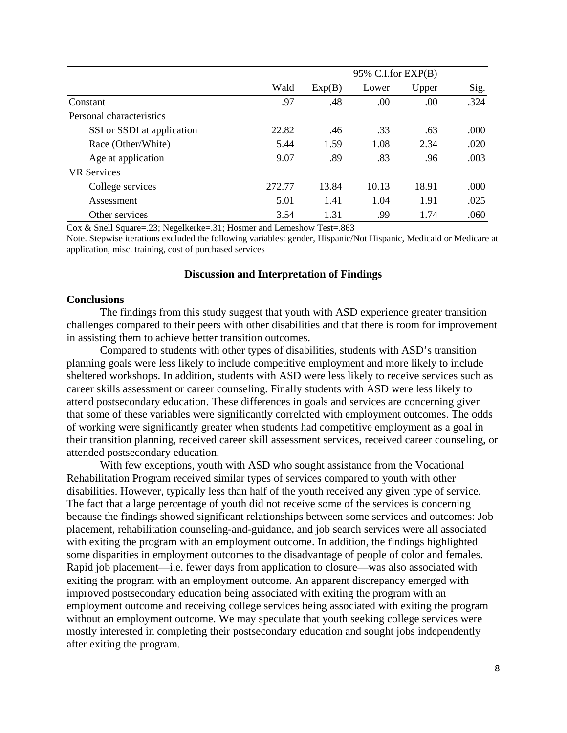|                            | 95% C.I.for EXP(B) |        |         |       |      |  |
|----------------------------|--------------------|--------|---------|-------|------|--|
|                            | Wald               | Exp(B) | Lower   | Upper | Sig. |  |
| Constant                   | .97                | .48    | $.00\,$ | .00   | .324 |  |
| Personal characteristics   |                    |        |         |       |      |  |
| SSI or SSDI at application | 22.82              | .46    | .33     | .63   | .000 |  |
| Race (Other/White)         | 5.44               | 1.59   | 1.08    | 2.34  | .020 |  |
| Age at application         | 9.07               | .89    | .83     | .96   | .003 |  |
| <b>VR Services</b>         |                    |        |         |       |      |  |
| College services           | 272.77             | 13.84  | 10.13   | 18.91 | .000 |  |
| Assessment                 | 5.01               | 1.41   | 1.04    | 1.91  | .025 |  |
| Other services             | 3.54               | 1.31   | .99     | 1.74  | .060 |  |

Cox & Snell Square=.23; Negelkerke=.31; Hosmer and Lemeshow Test=.863

Note. Stepwise iterations excluded the following variables: gender, Hispanic/Not Hispanic, Medicaid or Medicare at application, misc. training, cost of purchased services

## **Discussion and Interpretation of Findings**

#### **Conclusions**

The findings from this study suggest that youth with ASD experience greater transition challenges compared to their peers with other disabilities and that there is room for improvement in assisting them to achieve better transition outcomes.

Compared to students with other types of disabilities, students with ASD's transition planning goals were less likely to include competitive employment and more likely to include sheltered workshops. In addition, students with ASD were less likely to receive services such as career skills assessment or career counseling. Finally students with ASD were less likely to attend postsecondary education. These differences in goals and services are concerning given that some of these variables were significantly correlated with employment outcomes. The odds of working were significantly greater when students had competitive employment as a goal in their transition planning, received career skill assessment services, received career counseling, or attended postsecondary education.

With few exceptions, youth with ASD who sought assistance from the Vocational Rehabilitation Program received similar types of services compared to youth with other disabilities. However, typically less than half of the youth received any given type of service. The fact that a large percentage of youth did not receive some of the services is concerning because the findings showed significant relationships between some services and outcomes: Job placement, rehabilitation counseling-and-guidance, and job search services were all associated with exiting the program with an employment outcome. In addition, the findings highlighted some disparities in employment outcomes to the disadvantage of people of color and females. Rapid job placement—i.e. fewer days from application to closure—was also associated with exiting the program with an employment outcome. An apparent discrepancy emerged with improved postsecondary education being associated with exiting the program with an employment outcome and receiving college services being associated with exiting the program without an employment outcome. We may speculate that youth seeking college services were mostly interested in completing their postsecondary education and sought jobs independently after exiting the program.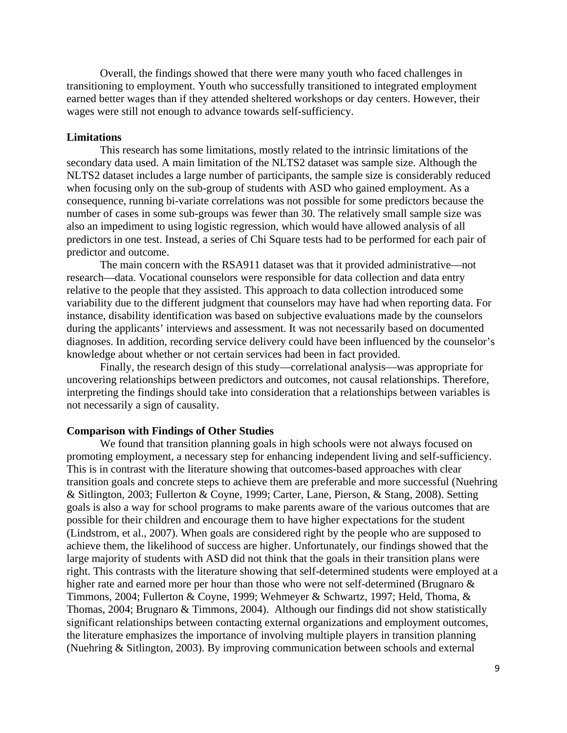Overall, the findings showed that there were many youth who faced challenges in transitioning to employment. Youth who successfully transitioned to integrated employment earned better wages than if they attended sheltered workshops or day centers. However, their wages were still not enough to advance towards self-sufficiency.

## **Limitations**

This research has some limitations, mostly related to the intrinsic limitations of the secondary data used. A main limitation of the NLTS2 dataset was sample size. Although the NLTS2 dataset includes a large number of participants, the sample size is considerably reduced when focusing only on the sub-group of students with ASD who gained employment. As a consequence, running bi-variate correlations was not possible for some predictors because the number of cases in some sub-groups was fewer than 30. The relatively small sample size was also an impediment to using logistic regression, which would have allowed analysis of all predictors in one test. Instead, a series of Chi Square tests had to be performed for each pair of predictor and outcome.

The main concern with the RSA911 dataset was that it provided administrative––not research––data. Vocational counselors were responsible for data collection and data entry relative to the people that they assisted. This approach to data collection introduced some variability due to the different judgment that counselors may have had when reporting data. For instance, disability identification was based on subjective evaluations made by the counselors during the applicants' interviews and assessment. It was not necessarily based on documented diagnoses. In addition, recording service delivery could have been influenced by the counselor's knowledge about whether or not certain services had been in fact provided.

Finally, the research design of this study––correlational analysis––was appropriate for uncovering relationships between predictors and outcomes, not causal relationships. Therefore, interpreting the findings should take into consideration that a relationships between variables is not necessarily a sign of causality.

### **Comparison with Findings of Other Studies**

We found that transition planning goals in high schools were not always focused on promoting employment, a necessary step for enhancing independent living and self-sufficiency. This is in contrast with the literature showing that outcomes-based approaches with clear transition goals and concrete steps to achieve them are preferable and more successful (Nuehring & Sitlington, 2003; Fullerton & Coyne, 1999; Carter, Lane, Pierson, & Stang, 2008). Setting goals is also a way for school programs to make parents aware of the various outcomes that are possible for their children and encourage them to have higher expectations for the student (Lindstrom, et al., 2007). When goals are considered right by the people who are supposed to achieve them, the likelihood of success are higher. Unfortunately, our findings showed that the large majority of students with ASD did not think that the goals in their transition plans were right. This contrasts with the literature showing that self-determined students were employed at a higher rate and earned more per hour than those who were not self-determined (Brugnaro & Timmons, 2004; Fullerton & Coyne, 1999; Wehmeyer & Schwartz, 1997; Held, Thoma, & Thomas, 2004; Brugnaro & Timmons, 2004). Although our findings did not show statistically significant relationships between contacting external organizations and employment outcomes, the literature emphasizes the importance of involving multiple players in transition planning (Nuehring & Sitlington, 2003). By improving communication between schools and external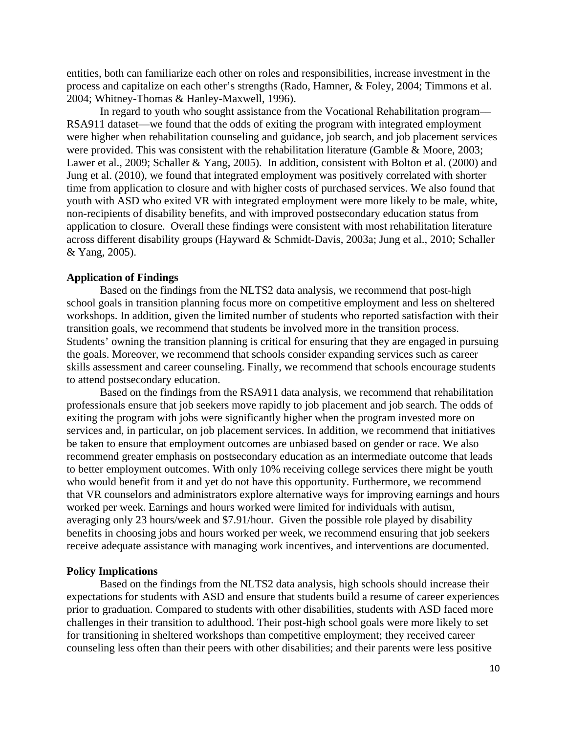entities, both can familiarize each other on roles and responsibilities, increase investment in the process and capitalize on each other's strengths (Rado, Hamner, & Foley, 2004; Timmons et al. 2004; Whitney-Thomas & Hanley-Maxwell, 1996).

In regard to youth who sought assistance from the Vocational Rehabilitation program–– RSA911 dataset—we found that the odds of exiting the program with integrated employment were higher when rehabilitation counseling and guidance, job search, and job placement services were provided. This was consistent with the rehabilitation literature (Gamble & Moore, 2003; Lawer et al., 2009; Schaller & Yang, 2005). In addition, consistent with Bolton et al. (2000) and Jung et al. (2010), we found that integrated employment was positively correlated with shorter time from application to closure and with higher costs of purchased services. We also found that youth with ASD who exited VR with integrated employment were more likely to be male, white, non-recipients of disability benefits, and with improved postsecondary education status from application to closure. Overall these findings were consistent with most rehabilitation literature across different disability groups (Hayward & Schmidt-Davis, 2003a; Jung et al., 2010; Schaller & Yang, 2005).

## **Application of Findings**

Based on the findings from the NLTS2 data analysis, we recommend that post-high school goals in transition planning focus more on competitive employment and less on sheltered workshops. In addition, given the limited number of students who reported satisfaction with their transition goals, we recommend that students be involved more in the transition process. Students' owning the transition planning is critical for ensuring that they are engaged in pursuing the goals. Moreover, we recommend that schools consider expanding services such as career skills assessment and career counseling. Finally, we recommend that schools encourage students to attend postsecondary education.

Based on the findings from the RSA911 data analysis, we recommend that rehabilitation professionals ensure that job seekers move rapidly to job placement and job search. The odds of exiting the program with jobs were significantly higher when the program invested more on services and, in particular, on job placement services. In addition, we recommend that initiatives be taken to ensure that employment outcomes are unbiased based on gender or race. We also recommend greater emphasis on postsecondary education as an intermediate outcome that leads to better employment outcomes. With only 10% receiving college services there might be youth who would benefit from it and yet do not have this opportunity. Furthermore, we recommend that VR counselors and administrators explore alternative ways for improving earnings and hours worked per week. Earnings and hours worked were limited for individuals with autism, averaging only 23 hours/week and \$7.91/hour. Given the possible role played by disability benefits in choosing jobs and hours worked per week, we recommend ensuring that job seekers receive adequate assistance with managing work incentives, and interventions are documented.

#### **Policy Implications**

Based on the findings from the NLTS2 data analysis, high schools should increase their expectations for students with ASD and ensure that students build a resume of career experiences prior to graduation. Compared to students with other disabilities, students with ASD faced more challenges in their transition to adulthood. Their post-high school goals were more likely to set for transitioning in sheltered workshops than competitive employment; they received career counseling less often than their peers with other disabilities; and their parents were less positive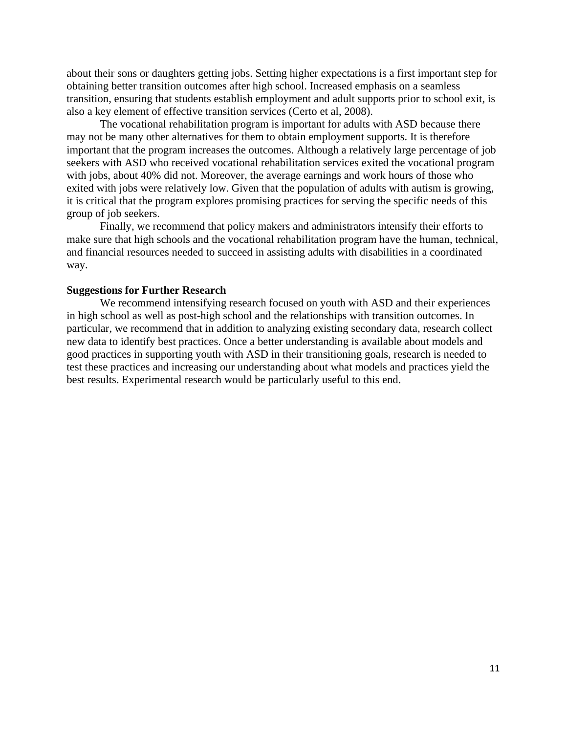about their sons or daughters getting jobs. Setting higher expectations is a first important step for obtaining better transition outcomes after high school. Increased emphasis on a seamless transition, ensuring that students establish employment and adult supports prior to school exit, is also a key element of effective transition services (Certo et al, 2008).

The vocational rehabilitation program is important for adults with ASD because there may not be many other alternatives for them to obtain employment supports. It is therefore important that the program increases the outcomes. Although a relatively large percentage of job seekers with ASD who received vocational rehabilitation services exited the vocational program with jobs, about 40% did not. Moreover, the average earnings and work hours of those who exited with jobs were relatively low. Given that the population of adults with autism is growing, it is critical that the program explores promising practices for serving the specific needs of this group of job seekers.

Finally, we recommend that policy makers and administrators intensify their efforts to make sure that high schools and the vocational rehabilitation program have the human, technical, and financial resources needed to succeed in assisting adults with disabilities in a coordinated way.

### **Suggestions for Further Research**

We recommend intensifying research focused on youth with ASD and their experiences in high school as well as post-high school and the relationships with transition outcomes. In particular, we recommend that in addition to analyzing existing secondary data, research collect new data to identify best practices. Once a better understanding is available about models and good practices in supporting youth with ASD in their transitioning goals, research is needed to test these practices and increasing our understanding about what models and practices yield the best results. Experimental research would be particularly useful to this end.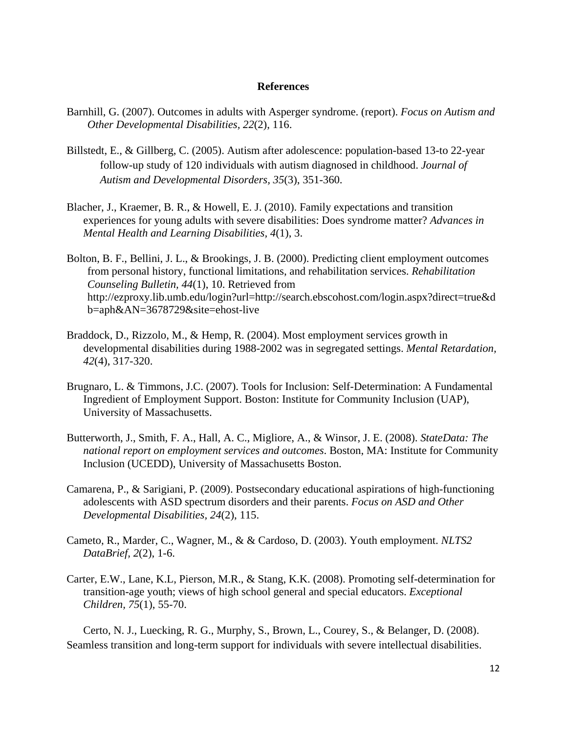### **References**

- Barnhill, G. (2007). Outcomes in adults with Asperger syndrome. (report). *Focus on Autism and Other Developmental Disabilities, 22*(2), 116.
- Billstedt, E., & Gillberg, C. (2005). Autism after adolescence: population-based 13-to 22-year follow-up study of 120 individuals with autism diagnosed in childhood. *Journal of Autism and Developmental Disorders, 35*(3), 351-360.
- Blacher, J., Kraemer, B. R., & Howell, E. J. (2010). Family expectations and transition experiences for young adults with severe disabilities: Does syndrome matter? *Advances in Mental Health and Learning Disabilities, 4*(1), 3.
- Bolton, B. F., Bellini, J. L., & Brookings, J. B. (2000). Predicting client employment outcomes from personal history, functional limitations, and rehabilitation services. *Rehabilitation Counseling Bulletin, 44*(1), 10. Retrieved from http://ezproxy.lib.umb.edu/login?url=http://search.ebscohost.com/login.aspx?direct=true&d b=aph&AN=3678729&site=ehost-live
- Braddock, D., Rizzolo, M., & Hemp, R. (2004). Most employment services growth in developmental disabilities during 1988-2002 was in segregated settings. *Mental Retardation, 42*(4), 317-320.
- Brugnaro, L. & Timmons, J.C. (2007). Tools for Inclusion: Self-Determination: A Fundamental Ingredient of Employment Support. Boston: Institute for Community Inclusion (UAP), University of Massachusetts.
- Butterworth, J., Smith, F. A., Hall, A. C., Migliore, A., & Winsor, J. E. (2008). *StateData: The national report on employment services and outcomes*. Boston, MA: Institute for Community Inclusion (UCEDD), University of Massachusetts Boston.
- Camarena, P., & Sarigiani, P. (2009). Postsecondary educational aspirations of high-functioning adolescents with ASD spectrum disorders and their parents. *Focus on ASD and Other Developmental Disabilities, 24*(2), 115.
- Cameto, R., Marder, C., Wagner, M., & & Cardoso, D. (2003). Youth employment. *NLTS2 DataBrief, 2*(2), 1-6.
- Carter, E.W., Lane, K.L, Pierson, M.R., & Stang, K.K. (2008). Promoting self-determination for transition-age youth; views of high school general and special educators. *Exceptional Children, 75*(1), 55-70.

Certo, N. J., Luecking, R. G., Murphy, S., Brown, L., Courey, S., & Belanger, D. (2008). Seamless transition and long-term support for individuals with severe intellectual disabilities.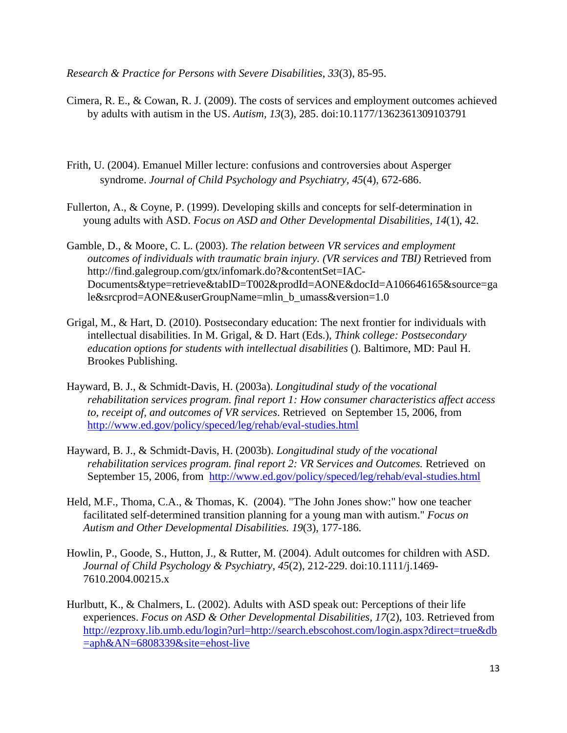*Research & Practice for Persons with Severe Disabilities*, *33*(3), 85-95.

- Cimera, R. E., & Cowan, R. J. (2009). The costs of services and employment outcomes achieved by adults with autism in the US. *Autism, 13*(3), 285. doi:10.1177/1362361309103791
- Frith, U. (2004). Emanuel Miller lecture: confusions and controversies about Asperger syndrome. *Journal of Child Psychology and Psychiatry, 45*(4), 672-686.
- Fullerton, A., & Coyne, P. (1999). Developing skills and concepts for self-determination in young adults with ASD. *Focus on ASD and Other Developmental Disabilities, 14*(1), 42.
- Gamble, D., & Moore, C. L. (2003). *The relation between VR services and employment outcomes of individuals with traumatic brain injury. (VR services and TBI)* Retrieved from http://find.galegroup.com/gtx/infomark.do?&contentSet=IAC-Documents&type=retrieve&tabID=T002&prodId=AONE&docId=A106646165&source=ga le&srcprod=AONE&userGroupName=mlin\_b\_umass&version=1.0
- Grigal, M., & Hart, D. (2010). Postsecondary education: The next frontier for individuals with intellectual disabilities. In M. Grigal, & D. Hart (Eds.), *Think college: Postsecondary education options for students with intellectual disabilities* (). Baltimore, MD: Paul H. Brookes Publishing.
- Hayward, B. J., & Schmidt-Davis, H. (2003a). *Longitudinal study of the vocational rehabilitation services program. final report 1: How consumer characteristics affect access to, receipt of, and outcomes of VR services*. Retrieved on September 15, 2006, from <http://www.ed.gov/policy/speced/leg/rehab/eval-studies.html>
- Hayward, B. J., & Schmidt-Davis, H. (2003b). *Longitudinal study of the vocational rehabilitation services program. final report 2: VR Services and Outcomes.* Retrieved on September 15, 2006, from <http://www.ed.gov/policy/speced/leg/rehab/eval-studies.html>
- Held, M.F., Thoma, C.A., & Thomas, K. (2004). "The John Jones show:" how one teacher facilitated self-determined transition planning for a young man with autism." *Focus on Autism and Other Developmental Disabilities. 19*(3), 177-186.
- Howlin, P., Goode, S., Hutton, J., & Rutter, M. (2004). Adult outcomes for children with ASD. *Journal of Child Psychology & Psychiatry, 45*(2), 212-229. doi:10.1111/j.1469- 7610.2004.00215.x
- Hurlbutt, K., & Chalmers, L. (2002). Adults with ASD speak out: Perceptions of their life experiences. *Focus on ASD & Other Developmental Disabilities, 17*(2), 103. Retrieved from [http://ezproxy.lib.umb.edu/login?url=http://search.ebscohost.com/login.aspx?direct=true&db](http://ezproxy.lib.umb.edu/login?url=http://search.ebscohost.com/login.aspx?direct=true&db=aph&AN=6808339&site=ehost-live) [=aph&AN=6808339&site=ehost-live](http://ezproxy.lib.umb.edu/login?url=http://search.ebscohost.com/login.aspx?direct=true&db=aph&AN=6808339&site=ehost-live)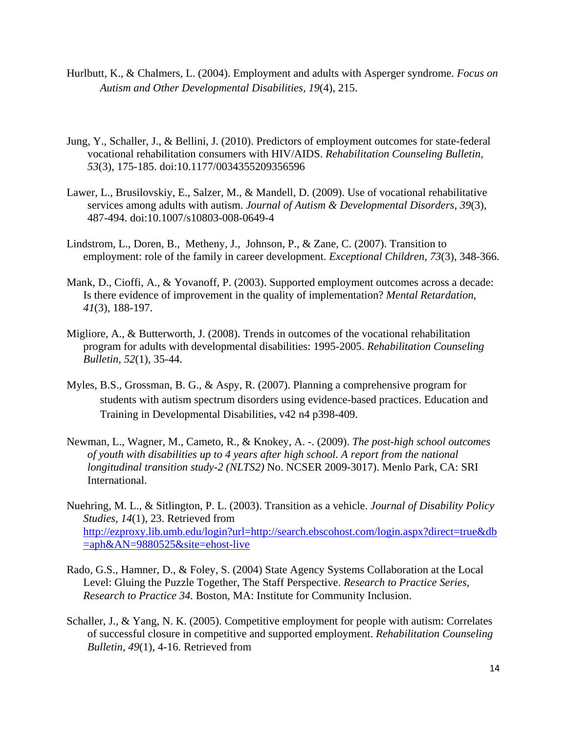- Hurlbutt, K., & Chalmers, L. (2004). Employment and adults with Asperger syndrome. *Focus on Autism and Other Developmental Disabilities, 19*(4), 215.
- Jung, Y., Schaller, J., & Bellini, J. (2010). Predictors of employment outcomes for state-federal vocational rehabilitation consumers with HIV/AIDS. *Rehabilitation Counseling Bulletin, 53*(3), 175-185. doi:10.1177/0034355209356596
- Lawer, L., Brusilovskiy, E., Salzer, M., & Mandell, D. (2009). Use of vocational rehabilitative services among adults with autism. *Journal of Autism & Developmental Disorders, 39*(3), 487-494. doi:10.1007/s10803-008-0649-4
- Lindstrom, L., Doren, B., Metheny, J., Johnson, P., & Zane, C. (2007). Transition to employment: role of the family in career development. *Exceptional Children, 73*(3), 348-366.
- Mank, D., Cioffi, A., & Yovanoff, P. (2003). Supported employment outcomes across a decade: Is there evidence of improvement in the quality of implementation? *Mental Retardation, 41*(3), 188-197.
- Migliore, A., & Butterworth, J. (2008). Trends in outcomes of the vocational rehabilitation program for adults with developmental disabilities: 1995-2005. *Rehabilitation Counseling Bulletin, 52*(1), 35-44.
- Myles, B.S., Grossman, B. G., & Aspy, R. (2007). Planning a comprehensive program for students with autism spectrum disorders using evidence-based practices. Education and Training in Developmental Disabilities, v42 n4 p398-409.
- Newman, L., Wagner, M., Cameto, R., & Knokey, A. -. (2009). *The post-high school outcomes of youth with disabilities up to 4 years after high school. A report from the national longitudinal transition study-2 (NLTS2)* No. NCSER 2009-3017). Menlo Park, CA: SRI International.
- Nuehring, M. L., & Sitlington, P. L. (2003). Transition as a vehicle. *Journal of Disability Policy Studies, 14*(1), 23. Retrieved from [http://ezproxy.lib.umb.edu/login?url=http://search.ebscohost.com/login.aspx?direct=true&db](http://ezproxy.lib.umb.edu/login?url=http://search.ebscohost.com/login.aspx?direct=true&db=aph&AN=9880525&site=ehost-live) [=aph&AN=9880525&site=ehost-live](http://ezproxy.lib.umb.edu/login?url=http://search.ebscohost.com/login.aspx?direct=true&db=aph&AN=9880525&site=ehost-live)
- Rado, G.S., Hamner, D., & Foley, S. (2004) State Agency Systems Collaboration at the Local Level: Gluing the Puzzle Together, The Staff Perspective. *Research to Practice Series, Research to Practice 34.* Boston, MA: Institute for Community Inclusion.
- Schaller, J., & Yang, N. K. (2005). Competitive employment for people with autism: Correlates of successful closure in competitive and supported employment. *Rehabilitation Counseling Bulletin, 49*(1), 4-16. Retrieved from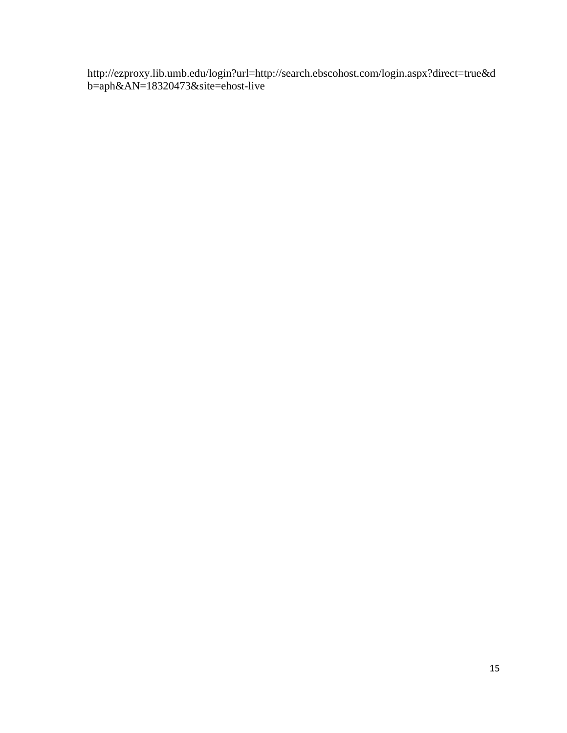http://ezproxy.lib.umb.edu/login?url=http://search.ebscohost.com/login.aspx?direct=true&d b=aph&AN=18320473&site=ehost-live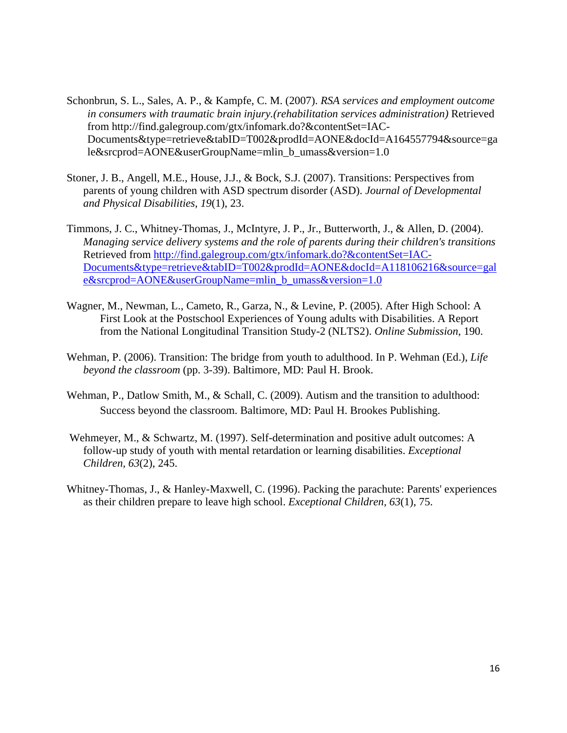- Schonbrun, S. L., Sales, A. P., & Kampfe, C. M. (2007). *RSA services and employment outcome in consumers with traumatic brain injury.(rehabilitation services administration)* Retrieved from http://find.galegroup.com/gtx/infomark.do?&contentSet=IAC-Documents&type=retrieve&tabID=T002&prodId=AONE&docId=A164557794&source=ga le&srcprod=AONE&userGroupName=mlin\_b\_umass&version=1.0
- Stoner, J. B., Angell, M.E., House, J.J., & Bock, S.J. (2007). Transitions: Perspectives from parents of young children with ASD spectrum disorder (ASD). *Journal of Developmental and Physical Disabilities, 19*(1), 23.
- Timmons, J. C., Whitney-Thomas, J., McIntyre, J. P., Jr., Butterworth, J., & Allen, D. (2004). *Managing service delivery systems and the role of parents during their children's transitions* Retrieved from [http://find.galegroup.com/gtx/infomark.do?&contentSet=IAC-](http://find.galegroup.com/gtx/infomark.do?&contentSet=IAC-Documents&type=retrieve&tabID=T002&prodId=AONE&docId=A118106216&source=gale&srcprod=AONE&userGroupName=mlin_b_umass&version=1.0)[Documents&type=retrieve&tabID=T002&prodId=AONE&docId=A118106216&source=gal](http://find.galegroup.com/gtx/infomark.do?&contentSet=IAC-Documents&type=retrieve&tabID=T002&prodId=AONE&docId=A118106216&source=gale&srcprod=AONE&userGroupName=mlin_b_umass&version=1.0) [e&srcprod=AONE&userGroupName=mlin\\_b\\_umass&version=1.0](http://find.galegroup.com/gtx/infomark.do?&contentSet=IAC-Documents&type=retrieve&tabID=T002&prodId=AONE&docId=A118106216&source=gale&srcprod=AONE&userGroupName=mlin_b_umass&version=1.0)
- Wagner, M., Newman, L., Cameto, R., Garza, N., & Levine, P. (2005). After High School: A First Look at the Postschool Experiences of Young adults with Disabilities. A Report from the National Longitudinal Transition Study-2 (NLTS2). *Online Submission*, 190.
- Wehman, P. (2006). Transition: The bridge from youth to adulthood. In P. Wehman (Ed.), *Life beyond the classroom* (pp. 3-39). Baltimore, MD: Paul H. Brook.
- Wehman, P., Datlow Smith, M., & Schall, C. (2009). Autism and the transition to adulthood: Success beyond the classroom. Baltimore, MD: Paul H. Brookes Publishing.
- Wehmeyer, M., & Schwartz, M. (1997). Self-determination and positive adult outcomes: A follow-up study of youth with mental retardation or learning disabilities. *Exceptional Children, 63*(2), 245.
- Whitney-Thomas, J., & Hanley-Maxwell, C. (1996). Packing the parachute: Parents' experiences as their children prepare to leave high school. *Exceptional Children, 63*(1), 75.